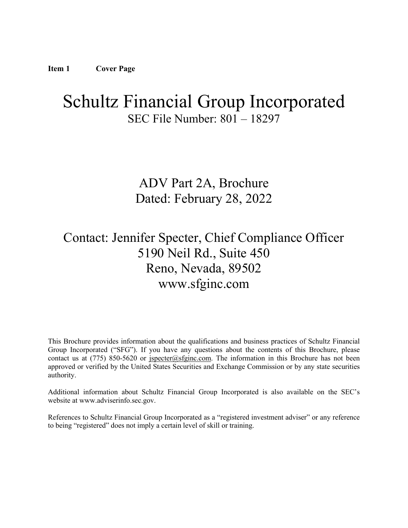# <span id="page-0-0"></span>Schultz Financial Group Incorporated SEC File Number: 801 – 18297

ADV Part 2A, Brochure Dated: February 28, 2022

# Contact: Jennifer Specter, Chief Compliance Officer 5190 Neil Rd., Suite 450 Reno, Nevada, 89502 www.sfginc.com

This Brochure provides information about the qualifications and business practices of Schultz Financial Group Incorporated ("SFG"). If you have any questions about the contents of this Brochure, please contact us at (775) 850-5620 or  $\frac{1}{2}$  is extended steps in the information in this Brochure has not been approved or verified by the United States Securities and Exchange Commission or by any state securities authority.

Additional information about Schultz Financial Group Incorporated is also available on the SEC's website at www.adviserinfo.sec.gov.

References to Schultz Financial Group Incorporated as a "registered investment adviser" or any reference to being "registered" does not imply a certain level of skill or training.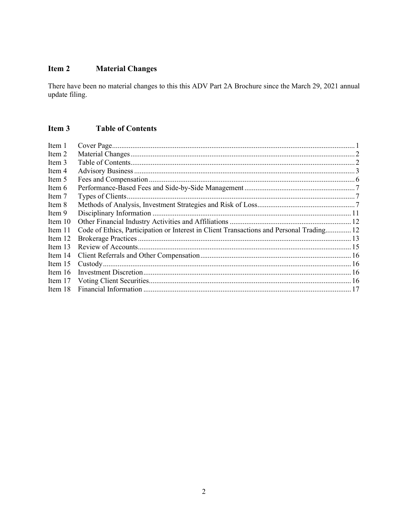#### <span id="page-1-0"></span>**Material Changes** Item 2

There have been no material changes to this this ADV Part 2A Brochure since the March 29, 2021 annual update filing.

#### <span id="page-1-1"></span>Item 3 **Table of Contents**

| Item 1    |                                                                                          |  |
|-----------|------------------------------------------------------------------------------------------|--|
| Item 2    |                                                                                          |  |
| Item 3    |                                                                                          |  |
| Item 4    |                                                                                          |  |
| Item 5    |                                                                                          |  |
| Item 6    |                                                                                          |  |
| Item 7    |                                                                                          |  |
| Item 8    |                                                                                          |  |
| Item 9    |                                                                                          |  |
| Item $10$ |                                                                                          |  |
| Item 11   | Code of Ethics, Participation or Interest in Client Transactions and Personal Trading 12 |  |
| Item 12   |                                                                                          |  |
| Item $13$ |                                                                                          |  |
| Item $14$ |                                                                                          |  |
| Item $15$ |                                                                                          |  |
| Item $16$ |                                                                                          |  |
| Item 17   |                                                                                          |  |
| Item 18   |                                                                                          |  |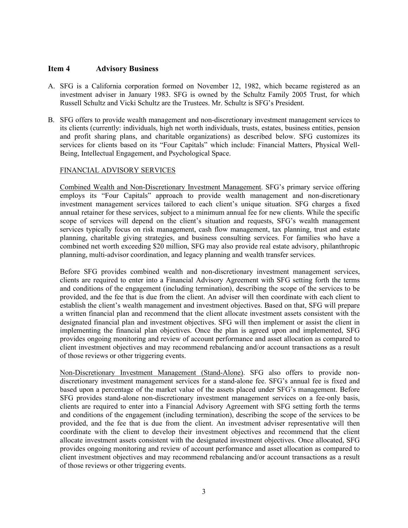#### <span id="page-2-0"></span>**Item 4 Advisory Business**

- A. SFG is a California corporation formed on November 12, 1982, which became registered as an investment adviser in January 1983. SFG is owned by the Schultz Family 2005 Trust, for which Russell Schultz and Vicki Schultz are the Trustees. Mr. Schultz is SFG's President.
- B. SFG offers to provide wealth management and non-discretionary investment management services to its clients (currently: individuals, high net worth individuals, trusts, estates, business entities, pension and profit sharing plans, and charitable organizations) as described below. SFG customizes its services for clients based on its "Four Capitals" which include: Financial Matters, Physical Well-Being, Intellectual Engagement, and Psychological Space.

#### FINANCIAL ADVISORY SERVICES

Combined Wealth and Non-Discretionary Investment Management. SFG's primary service offering employs its "Four Capitals" approach to provide wealth management and non-discretionary investment management services tailored to each client's unique situation. SFG charges a fixed annual retainer for these services, subject to a minimum annual fee for new clients. While the specific scope of services will depend on the client's situation and requests, SFG's wealth management services typically focus on risk management, cash flow management, tax planning, trust and estate planning, charitable giving strategies, and business consulting services. For families who have a combined net worth exceeding \$20 million, SFG may also provide real estate advisory, philanthropic planning, multi-advisor coordination, and legacy planning and wealth transfer services.

Before SFG provides combined wealth and non-discretionary investment management services, clients are required to enter into a Financial Advisory Agreement with SFG setting forth the terms and conditions of the engagement (including termination), describing the scope of the services to be provided, and the fee that is due from the client. An adviser will then coordinate with each client to establish the client's wealth management and investment objectives. Based on that, SFG will prepare a written financial plan and recommend that the client allocate investment assets consistent with the designated financial plan and investment objectives. SFG will then implement or assist the client in implementing the financial plan objectives. Once the plan is agreed upon and implemented, SFG provides ongoing monitoring and review of account performance and asset allocation as compared to client investment objectives and may recommend rebalancing and/or account transactions as a result of those reviews or other triggering events.

Non-Discretionary Investment Management (Stand-Alone). SFG also offers to provide nondiscretionary investment management services for a stand-alone fee. SFG's annual fee is fixed and based upon a percentage of the market value of the assets placed under SFG's management. Before SFG provides stand-alone non-discretionary investment management services on a fee-only basis, clients are required to enter into a Financial Advisory Agreement with SFG setting forth the terms and conditions of the engagement (including termination), describing the scope of the services to be provided, and the fee that is due from the client. An investment adviser representative will then coordinate with the client to develop their investment objectives and recommend that the client allocate investment assets consistent with the designated investment objectives. Once allocated, SFG provides ongoing monitoring and review of account performance and asset allocation as compared to client investment objectives and may recommend rebalancing and/or account transactions as a result of those reviews or other triggering events.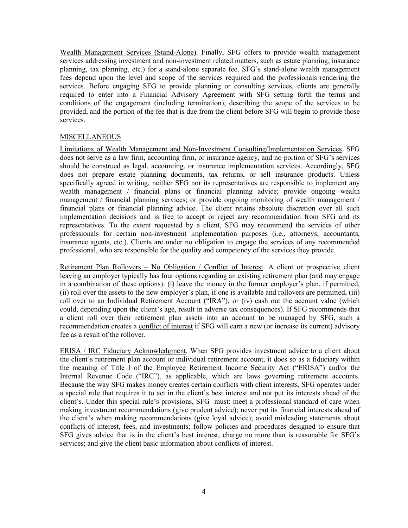Wealth Management Services (Stand-Alone). Finally, SFG offers to provide wealth management services addressing investment and non-investment related matters, such as estate planning, insurance planning, tax planning, etc.) for a stand-alone separate fee. SFG's stand-alone wealth management fees depend upon the level and scope of the services required and the professionals rendering the services. Before engaging SFG to provide planning or consulting services, clients are generally required to enter into a Financial Advisory Agreement with SFG setting forth the terms and conditions of the engagement (including termination), describing the scope of the services to be provided, and the portion of the fee that is due from the client before SFG will begin to provide those services.

#### **MISCELLANEOUS**

Limitations of Wealth Management and Non-Investment Consulting/Implementation Services. SFG does not serve as a law firm, accounting firm, or insurance agency, and no portion of SFG's services should be construed as legal, accounting, or insurance implementation services. Accordingly, SFG does not prepare estate planning documents, tax returns, or sell insurance products. Unless specifically agreed in writing, neither SFG nor its representatives are responsible to implement any wealth management / financial plans or financial planning advice; provide ongoing wealth management / financial planning services; or provide ongoing monitoring of wealth management / financial plans or financial planning advice. The client retains absolute discretion over all such implementation decisions and is free to accept or reject any recommendation from SFG and its representatives. To the extent requested by a client, SFG may recommend the services of other professionals for certain non-investment implementation purposes (i.e., attorneys, accountants, insurance agents, etc.). Clients are under no obligation to engage the services of any recommended professional, who are responsible for the quality and competency of the services they provide.

Retirement Plan Rollovers - No Obligation / Conflict of Interest. A client or prospective client leaving an employer typically has four options regarding an existing retirement plan (and may engage in a combination of these options): (i) leave the money in the former employer's plan, if permitted, (ii) roll over the assets to the new employer's plan, if one is available and rollovers are permitted, (iii) roll over to an Individual Retirement Account ("IRA"), or (iv) cash out the account value (which could, depending upon the client's age, result in adverse tax consequences). If SFG recommends that a client roll over their retirement plan assets into an account to be managed by SFG, such a recommendation creates a conflict of interest if SFG will earn a new (or increase its current) advisory fee as a result of the rollover.

ERISA / IRC Fiduciary Acknowledgment. When SFG provides investment advice to a client about the client's retirement plan account or individual retirement account, it does so as a fiduciary within the meaning of Title I of the Employee Retirement Income Security Act ("ERISA") and/or the Internal Revenue Code ("IRC"), as applicable, which are laws governing retirement accounts. Because the way SFG makes money creates certain conflicts with client interests, SFG operates under a special rule that requires it to act in the client's best interest and not put its interests ahead of the client's. Under this special rule's provisions, SFG must: meet a professional standard of care when making investment recommendations (give prudent advice); never put its financial interests ahead of the client's when making recommendations (give loyal advice); avoid misleading statements about conflicts of interest, fees, and investments; follow policies and procedures designed to ensure that SFG gives advice that is in the client's best interest; charge no more than is reasonable for SFG's services; and give the client basic information about conflicts of interest.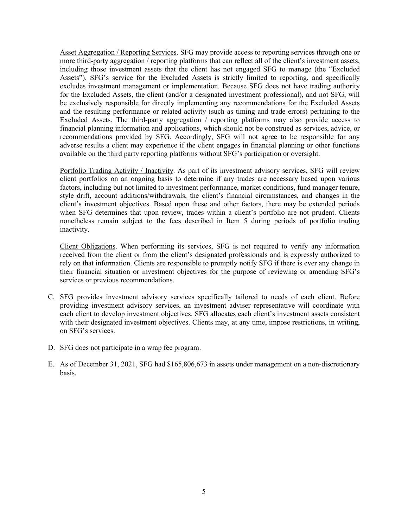Asset Aggregation / Reporting Services. SFG may provide access to reporting services through one or more third-party aggregation / reporting platforms that can reflect all of the client's investment assets, including those investment assets that the client has not engaged SFG to manage (the "Excluded Assets"). SFG's service for the Excluded Assets is strictly limited to reporting, and specifically excludes investment management or implementation. Because SFG does not have trading authority for the Excluded Assets, the client (and/or a designated investment professional), and not SFG, will be exclusively responsible for directly implementing any recommendations for the Excluded Assets and the resulting performance or related activity (such as timing and trade errors) pertaining to the Excluded Assets. The third-party aggregation / reporting platforms may also provide access to financial planning information and applications, which should not be construed as services, advice, or recommendations provided by SFG. Accordingly, SFG will not agree to be responsible for any adverse results a client may experience if the client engages in financial planning or other functions available on the third party reporting platforms without SFG's participation or oversight.

Portfolio Trading Activity / Inactivity. As part of its investment advisory services, SFG will review client portfolios on an ongoing basis to determine if any trades are necessary based upon various factors, including but not limited to investment performance, market conditions, fund manager tenure, style drift, account additions/withdrawals, the client's financial circumstances, and changes in the client's investment objectives. Based upon these and other factors, there may be extended periods when SFG determines that upon review, trades within a client's portfolio are not prudent. Clients nonetheless remain subject to the fees described in Item 5 during periods of portfolio trading inactivity.

Client Obligations. When performing its services, SFG is not required to verify any information received from the client or from the client's designated professionals and is expressly authorized to rely on that information. Clients are responsible to promptly notify SFG if there is ever any change in their financial situation or investment objectives for the purpose of reviewing or amending SFG's services or previous recommendations.

- C. SFG provides investment advisory services specifically tailored to needs of each client. Before providing investment advisory services, an investment adviser representative will coordinate with each client to develop investment objectives. SFG allocates each client's investment assets consistent with their designated investment objectives. Clients may, at any time, impose restrictions, in writing, on SFG's services.
- D. SFG does not participate in a wrap fee program.
- <span id="page-4-0"></span>E. As of December 31, 2021, SFG had \$165,806,673 in assets under management on a non-discretionary basis.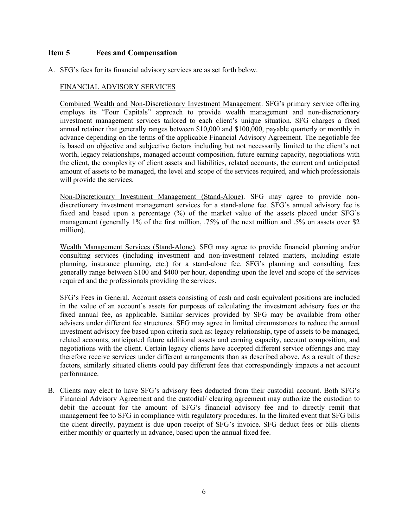### **Item 5 Fees and Compensation**

A. SFG's fees for its financial advisory services are as set forth below.

#### FINANCIAL ADVISORY SERVICES

Combined Wealth and Non-Discretionary Investment Management. SFG's primary service offering employs its "Four Capitals" approach to provide wealth management and non-discretionary investment management services tailored to each client's unique situation. SFG charges a fixed annual retainer that generally ranges between \$10,000 and \$100,000, payable quarterly or monthly in advance depending on the terms of the applicable Financial Advisory Agreement. The negotiable fee is based on objective and subjective factors including but not necessarily limited to the client's net worth, legacy relationships, managed account composition, future earning capacity, negotiations with the client, the complexity of client assets and liabilities, related accounts, the current and anticipated amount of assets to be managed, the level and scope of the services required, and which professionals will provide the services.

Non-Discretionary Investment Management (Stand-Alone). SFG may agree to provide nondiscretionary investment management services for a stand-alone fee. SFG's annual advisory fee is fixed and based upon a percentage (%) of the market value of the assets placed under SFG's management (generally 1% of the first million, .75% of the next million and .5% on assets over \$2 million).

Wealth Management Services (Stand-Alone). SFG may agree to provide financial planning and/or consulting services (including investment and non-investment related matters, including estate planning, insurance planning, etc.) for a stand-alone fee. SFG's planning and consulting fees generally range between \$100 and \$400 per hour, depending upon the level and scope of the services required and the professionals providing the services.

SFG's Fees in General. Account assets consisting of cash and cash equivalent positions are included in the value of an account's assets for purposes of calculating the investment advisory fees or the fixed annual fee, as applicable. Similar services provided by SFG may be available from other advisers under different fee structures. SFG may agree in limited circumstances to reduce the annual investment advisory fee based upon criteria such as: legacy relationship, type of assets to be managed, related accounts, anticipated future additional assets and earning capacity, account composition, and negotiations with the client. Certain legacy clients have accepted different service offerings and may therefore receive services under different arrangements than as described above. As a result of these factors, similarly situated clients could pay different fees that correspondingly impacts a net account performance.

B. Clients may elect to have SFG's advisory fees deducted from their custodial account. Both SFG's Financial Advisory Agreement and the custodial/ clearing agreement may authorize the custodian to debit the account for the amount of SFG's financial advisory fee and to directly remit that management fee to SFG in compliance with regulatory procedures. In the limited event that SFG bills the client directly, payment is due upon receipt of SFG's invoice. SFG deduct fees or bills clients either monthly or quarterly in advance, based upon the annual fixed fee.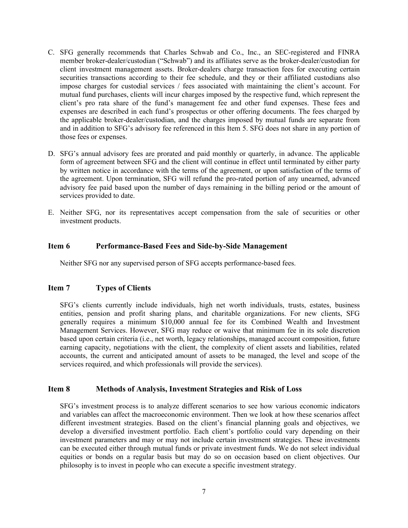- C. SFG generally recommends that Charles Schwab and Co., Inc., an SEC-registered and FINRA member broker-dealer/custodian ("Schwab") and its affiliates serve as the broker-dealer/custodian for client investment management assets. Broker-dealers charge transaction fees for executing certain securities transactions according to their fee schedule, and they or their affiliated custodians also impose charges for custodial services / fees associated with maintaining the client's account. For mutual fund purchases, clients will incur charges imposed by the respective fund, which represent the client's pro rata share of the fund's management fee and other fund expenses. These fees and expenses are described in each fund's prospectus or other offering documents. The fees charged by the applicable broker-dealer/custodian, and the charges imposed by mutual funds are separate from and in addition to SFG's advisory fee referenced in this Item 5. SFG does not share in any portion of those fees or expenses.
- D. SFG's annual advisory fees are prorated and paid monthly or quarterly, in advance. The applicable form of agreement between SFG and the client will continue in effect until terminated by either party by written notice in accordance with the terms of the agreement, or upon satisfaction of the terms of the agreement. Upon termination, SFG will refund the pro-rated portion of any unearned, advanced advisory fee paid based upon the number of days remaining in the billing period or the amount of services provided to date.
- <span id="page-6-0"></span>E. Neither SFG, nor its representatives accept compensation from the sale of securities or other investment products.

#### **Item 6 Performance-Based Fees and Side-by-Side Management**

<span id="page-6-1"></span>Neither SFG nor any supervised person of SFG accepts performance-based fees.

#### **Item 7 Types of Clients**

<span id="page-6-2"></span>SFG's clients currently include individuals, high net worth individuals, trusts, estates, business entities, pension and profit sharing plans, and charitable organizations. For new clients, SFG generally requires a minimum \$10,000 annual fee for its Combined Wealth and Investment Management Services. However, SFG may reduce or waive that minimum fee in its sole discretion based upon certain criteria (i.e., net worth, legacy relationships, managed account composition, future earning capacity, negotiations with the client, the complexity of client assets and liabilities, related accounts, the current and anticipated amount of assets to be managed, the level and scope of the services required, and which professionals will provide the services).

#### **Item 8 Methods of Analysis, Investment Strategies and Risk of Loss**

SFG's investment process is to analyze different scenarios to see how various economic indicators and variables can affect the macroeconomic environment. Then we look at how these scenarios affect different investment strategies. Based on the client's financial planning goals and objectives, we develop a diversified investment portfolio. Each client's portfolio could vary depending on their investment parameters and may or may not include certain investment strategies. These investments can be executed either through mutual funds or private investment funds. We do not select individual equities or bonds on a regular basis but may do so on occasion based on client objectives. Our philosophy is to invest in people who can execute a specific investment strategy.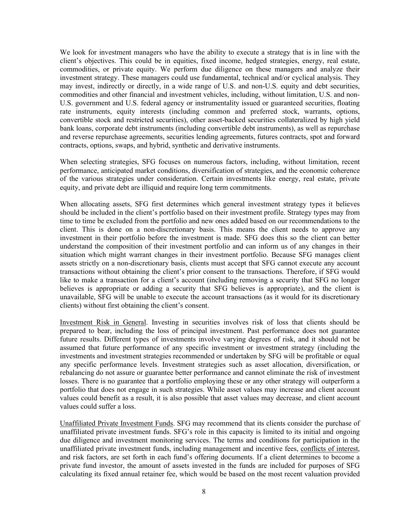We look for investment managers who have the ability to execute a strategy that is in line with the client's objectives. This could be in equities, fixed income, hedged strategies, energy, real estate, commodities, or private equity. We perform due diligence on these managers and analyze their investment strategy. These managers could use fundamental, technical and/or cyclical analysis. They may invest, indirectly or directly, in a wide range of U.S. and non-U.S. equity and debt securities, commodities and other financial and investment vehicles, including, without limitation, U.S. and non-U.S. government and U.S. federal agency or instrumentality issued or guaranteed securities, floating rate instruments, equity interests (including common and preferred stock, warrants, options, convertible stock and restricted securities), other asset-backed securities collateralized by high yield bank loans, corporate debt instruments (including convertible debt instruments), as well as repurchase and reverse repurchase agreements, securities lending agreements, futures contracts, spot and forward contracts, options, swaps, and hybrid, synthetic and derivative instruments.

When selecting strategies, SFG focuses on numerous factors, including, without limitation, recent performance, anticipated market conditions, diversification of strategies, and the economic coherence of the various strategies under consideration. Certain investments like energy, real estate, private equity, and private debt are illiquid and require long term commitments.

When allocating assets, SFG first determines which general investment strategy types it believes should be included in the client's portfolio based on their investment profile. Strategy types may from time to time be excluded from the portfolio and new ones added based on our recommendations to the client. This is done on a non-discretionary basis. This means the client needs to approve any investment in their portfolio before the investment is made. SFG does this so the client can better understand the composition of their investment portfolio and can inform us of any changes in their situation which might warrant changes in their investment portfolio. Because SFG manages client assets strictly on a non-discretionary basis, clients must accept that SFG cannot execute any account transactions without obtaining the client's prior consent to the transactions. Therefore, if SFG would like to make a transaction for a client's account (including removing a security that SFG no longer believes is appropriate or adding a security that SFG believes is appropriate), and the client is unavailable, SFG will be unable to execute the account transactions (as it would for its discretionary clients) without first obtaining the client's consent.

Investment Risk in General. Investing in securities involves risk of loss that clients should be prepared to bear, including the loss of principal investment. Past performance does not guarantee future results. Different types of investments involve varying degrees of risk, and it should not be assumed that future performance of any specific investment or investment strategy (including the investments and investment strategies recommended or undertaken by SFG will be profitable or equal any specific performance levels. Investment strategies such as asset allocation, diversification, or rebalancing do not assure or guarantee better performance and cannot eliminate the risk of investment losses. There is no guarantee that a portfolio employing these or any other strategy will outperform a portfolio that does not engage in such strategies. While asset values may increase and client account values could benefit as a result, it is also possible that asset values may decrease, and client account values could suffer a loss.

Unaffiliated Private Investment Funds. SFG may recommend that its clients consider the purchase of unaffiliated private investment funds. SFG's role in this capacity is limited to its initial and ongoing due diligence and investment monitoring services. The terms and conditions for participation in the unaffiliated private investment funds, including management and incentive fees, conflicts of interest, and risk factors, are set forth in each fund's offering documents. If a client determines to become a private fund investor, the amount of assets invested in the funds are included for purposes of SFG calculating its fixed annual retainer fee, which would be based on the most recent valuation provided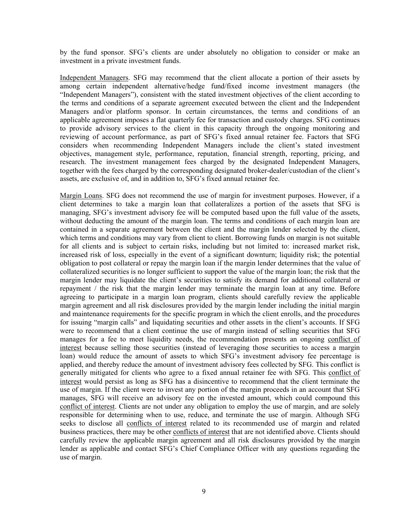by the fund sponsor. SFG's clients are under absolutely no obligation to consider or make an investment in a private investment funds.

Independent Managers. SFG may recommend that the client allocate a portion of their assets by among certain independent alternative/hedge fund/fixed income investment managers (the "Independent Managers"), consistent with the stated investment objectives of the client according to the terms and conditions of a separate agreement executed between the client and the Independent Managers and/or platform sponsor. In certain circumstances, the terms and conditions of an applicable agreement imposes a flat quarterly fee for transaction and custody charges. SFG continues to provide advisory services to the client in this capacity through the ongoing monitoring and reviewing of account performance, as part of SFG's fixed annual retainer fee. Factors that SFG considers when recommending Independent Managers include the client's stated investment objectives, management style, performance, reputation, financial strength, reporting, pricing, and research. The investment management fees charged by the designated Independent Managers, together with the fees charged by the corresponding designated broker-dealer/custodian of the client's assets, are exclusive of, and in addition to, SFG's fixed annual retainer fee.

Margin Loans. SFG does not recommend the use of margin for investment purposes. However, if a client determines to take a margin loan that collateralizes a portion of the assets that SFG is managing, SFG's investment advisory fee will be computed based upon the full value of the assets, without deducting the amount of the margin loan. The terms and conditions of each margin loan are contained in a separate agreement between the client and the margin lender selected by the client, which terms and conditions may vary from client to client. Borrowing funds on margin is not suitable for all clients and is subject to certain risks, including but not limited to: increased market risk, increased risk of loss, especially in the event of a significant downturn; liquidity risk; the potential obligation to post collateral or repay the margin loan if the margin lender determines that the value of collateralized securities is no longer sufficient to support the value of the margin loan; the risk that the margin lender may liquidate the client's securities to satisfy its demand for additional collateral or repayment / the risk that the margin lender may terminate the margin loan at any time. Before agreeing to participate in a margin loan program, clients should carefully review the applicable margin agreement and all risk disclosures provided by the margin lender including the initial margin and maintenance requirements for the specific program in which the client enrolls, and the procedures for issuing "margin calls" and liquidating securities and other assets in the client's accounts. If SFG were to recommend that a client continue the use of margin instead of selling securities that SFG manages for a fee to meet liquidity needs, the recommendation presents an ongoing conflict of interest because selling those securities (instead of leveraging those securities to access a margin loan) would reduce the amount of assets to which SFG's investment advisory fee percentage is applied, and thereby reduce the amount of investment advisory fees collected by SFG. This conflict is generally mitigated for clients who agree to a fixed annual retainer fee with SFG. This conflict of interest would persist as long as SFG has a disincentive to recommend that the client terminate the use of margin. If the client were to invest any portion of the margin proceeds in an account that SFG manages, SFG will receive an advisory fee on the invested amount, which could compound this conflict of interest. Clients are not under any obligation to employ the use of margin, and are solely responsible for determining when to use, reduce, and terminate the use of margin. Although SFG seeks to disclose all conflicts of interest related to its recommended use of margin and related business practices, there may be other conflicts of interest that are not identified above. Clients should carefully review the applicable margin agreement and all risk disclosures provided by the margin lender as applicable and contact SFG's Chief Compliance Officer with any questions regarding the use of margin.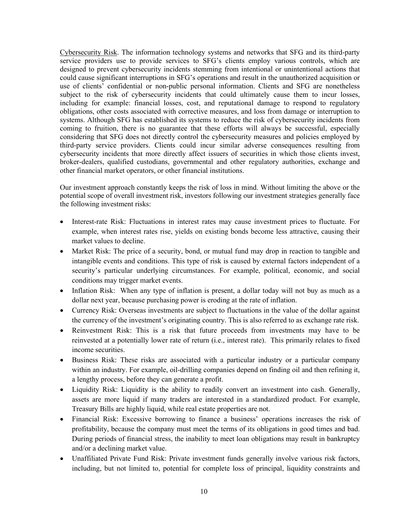Cybersecurity Risk. The information technology systems and networks that SFG and its third-party service providers use to provide services to SFG's clients employ various controls, which are designed to prevent cybersecurity incidents stemming from intentional or unintentional actions that could cause significant interruptions in SFG's operations and result in the unauthorized acquisition or use of clients' confidential or non-public personal information. Clients and SFG are nonetheless subject to the risk of cybersecurity incidents that could ultimately cause them to incur losses, including for example: financial losses, cost, and reputational damage to respond to regulatory obligations, other costs associated with corrective measures, and loss from damage or interruption to systems. Although SFG has established its systems to reduce the risk of cybersecurity incidents from coming to fruition, there is no guarantee that these efforts will always be successful, especially considering that SFG does not directly control the cybersecurity measures and policies employed by third-party service providers. Clients could incur similar adverse consequences resulting from cybersecurity incidents that more directly affect issuers of securities in which those clients invest, broker-dealers, qualified custodians, governmental and other regulatory authorities, exchange and other financial market operators, or other financial institutions.

Our investment approach constantly keeps the risk of loss in mind. Without limiting the above or the potential scope of overall investment risk, investors following our investment strategies generally face the following investment risks:

- Interest-rate Risk: Fluctuations in interest rates may cause investment prices to fluctuate. For example, when interest rates rise, yields on existing bonds become less attractive, causing their market values to decline.
- Market Risk: The price of a security, bond, or mutual fund may drop in reaction to tangible and intangible events and conditions. This type of risk is caused by external factors independent of a security's particular underlying circumstances. For example, political, economic, and social conditions may trigger market events.
- Inflation Risk: When any type of inflation is present, a dollar today will not buy as much as a dollar next year, because purchasing power is eroding at the rate of inflation.
- Currency Risk: Overseas investments are subject to fluctuations in the value of the dollar against the currency of the investment's originating country. This is also referred to as exchange rate risk.
- Reinvestment Risk: This is a risk that future proceeds from investments may have to be reinvested at a potentially lower rate of return (i.e., interest rate). This primarily relates to fixed income securities.
- Business Risk: These risks are associated with a particular industry or a particular company within an industry. For example, oil-drilling companies depend on finding oil and then refining it, a lengthy process, before they can generate a profit.
- Liquidity Risk: Liquidity is the ability to readily convert an investment into cash. Generally, assets are more liquid if many traders are interested in a standardized product. For example, Treasury Bills are highly liquid, while real estate properties are not.
- Financial Risk: Excessive borrowing to finance a business' operations increases the risk of profitability, because the company must meet the terms of its obligations in good times and bad. During periods of financial stress, the inability to meet loan obligations may result in bankruptcy and/or a declining market value.
- Unaffiliated Private Fund Risk: Private investment funds generally involve various risk factors, including, but not limited to, potential for complete loss of principal, liquidity constraints and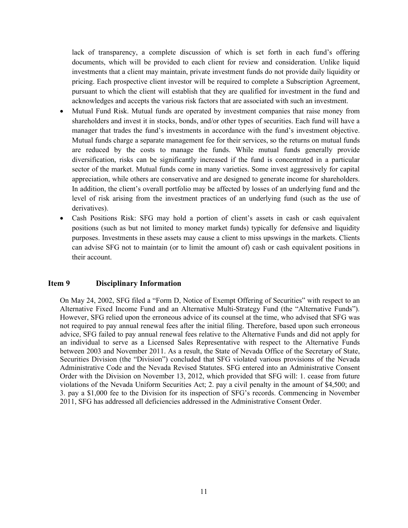lack of transparency, a complete discussion of which is set forth in each fund's offering documents, which will be provided to each client for review and consideration. Unlike liquid investments that a client may maintain, private investment funds do not provide daily liquidity or pricing. Each prospective client investor will be required to complete a Subscription Agreement, pursuant to which the client will establish that they are qualified for investment in the fund and acknowledges and accepts the various risk factors that are associated with such an investment.

- Mutual Fund Risk. Mutual funds are operated by investment companies that raise money from shareholders and invest it in stocks, bonds, and/or other types of securities. Each fund will have a manager that trades the fund's investments in accordance with the fund's investment objective. Mutual funds charge a separate management fee for their services, so the returns on mutual funds are reduced by the costs to manage the funds. While mutual funds generally provide diversification, risks can be significantly increased if the fund is concentrated in a particular sector of the market. Mutual funds come in many varieties. Some invest aggressively for capital appreciation, while others are conservative and are designed to generate income for shareholders. In addition, the client's overall portfolio may be affected by losses of an underlying fund and the level of risk arising from the investment practices of an underlying fund (such as the use of derivatives).
- Cash Positions Risk: SFG may hold a portion of client's assets in cash or cash equivalent positions (such as but not limited to money market funds) typically for defensive and liquidity purposes. Investments in these assets may cause a client to miss upswings in the markets. Clients can advise SFG not to maintain (or to limit the amount of) cash or cash equivalent positions in their account.

#### <span id="page-10-0"></span>**Item 9 Disciplinary Information**

<span id="page-10-1"></span>On May 24, 2002, SFG filed a "Form D, Notice of Exempt Offering of Securities" with respect to an Alternative Fixed Income Fund and an Alternative Multi-Strategy Fund (the "Alternative Funds"). However, SFG relied upon the erroneous advice of its counsel at the time, who advised that SFG was not required to pay annual renewal fees after the initial filing. Therefore, based upon such erroneous advice, SFG failed to pay annual renewal fees relative to the Alternative Funds and did not apply for an individual to serve as a Licensed Sales Representative with respect to the Alternative Funds between 2003 and November 2011. As a result, the State of Nevada Office of the Secretary of State, Securities Division (the "Division") concluded that SFG violated various provisions of the Nevada Administrative Code and the Nevada Revised Statutes. SFG entered into an Administrative Consent Order with the Division on November 13, 2012, which provided that SFG will: 1. cease from future violations of the Nevada Uniform Securities Act; 2. pay a civil penalty in the amount of \$4,500; and 3. pay a \$1,000 fee to the Division for its inspection of SFG's records. Commencing in November 2011, SFG has addressed all deficiencies addressed in the Administrative Consent Order.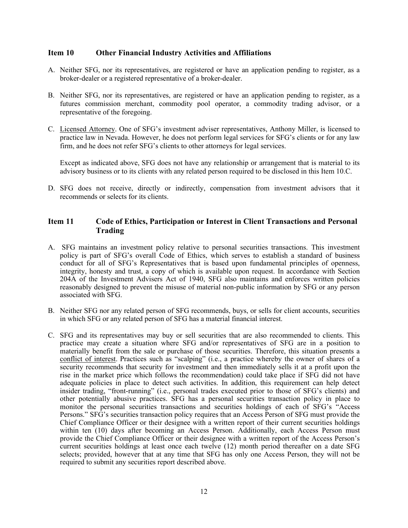#### **Item 10 Other Financial Industry Activities and Affiliations**

- A. Neither SFG, nor its representatives, are registered or have an application pending to register, as a broker-dealer or a registered representative of a broker-dealer.
- B. Neither SFG, nor its representatives, are registered or have an application pending to register, as a futures commission merchant, commodity pool operator, a commodity trading advisor, or a representative of the foregoing.
- C. Licensed Attorney. One of SFG's investment adviser representatives, Anthony Miller, is licensed to practice law in Nevada. However, he does not perform legal services for SFG's clients or for any law firm, and he does not refer SFG's clients to other attorneys for legal services.

<span id="page-11-0"></span>Except as indicated above, SFG does not have any relationship or arrangement that is material to its advisory business or to its clients with any related person required to be disclosed in this Item 10.C.

D. SFG does not receive, directly or indirectly, compensation from investment advisors that it recommends or selects for its clients.

### **Item 11 Code of Ethics, Participation or Interest in Client Transactions and Personal Trading**

- A. SFG maintains an investment policy relative to personal securities transactions. This investment policy is part of SFG's overall Code of Ethics, which serves to establish a standard of business conduct for all of SFG's Representatives that is based upon fundamental principles of openness, integrity, honesty and trust, a copy of which is available upon request. In accordance with Section 204A of the Investment Advisers Act of 1940, SFG also maintains and enforces written policies reasonably designed to prevent the misuse of material non-public information by SFG or any person associated with SFG.
- B. Neither SFG nor any related person of SFG recommends, buys, or sells for client accounts, securities in which SFG or any related person of SFG has a material financial interest.
- C. SFG and its representatives may buy or sell securities that are also recommended to clients. This practice may create a situation where SFG and/or representatives of SFG are in a position to materially benefit from the sale or purchase of those securities. Therefore, this situation presents a conflict of interest. Practices such as "scalping" (i.e., a practice whereby the owner of shares of a security recommends that security for investment and then immediately sells it at a profit upon the rise in the market price which follows the recommendation) could take place if SFG did not have adequate policies in place to detect such activities. In addition, this requirement can help detect insider trading, "front-running" (i.e., personal trades executed prior to those of SFG's clients) and other potentially abusive practices. SFG has a personal securities transaction policy in place to monitor the personal securities transactions and securities holdings of each of SFG's "Access Persons." SFG's securities transaction policy requires that an Access Person of SFG must provide the Chief Compliance Officer or their designee with a written report of their current securities holdings within ten (10) days after becoming an Access Person. Additionally, each Access Person must provide the Chief Compliance Officer or their designee with a written report of the Access Person's current securities holdings at least once each twelve (12) month period thereafter on a date SFG selects; provided, however that at any time that SFG has only one Access Person, they will not be required to submit any securities report described above.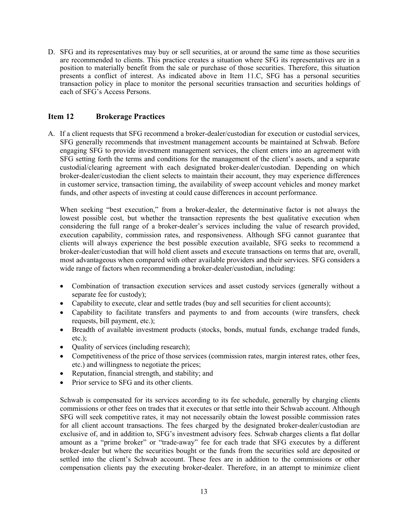D. SFG and its representatives may buy or sell securities, at or around the same time as those securities are recommended to clients. This practice creates a situation where SFG its representatives are in a position to materially benefit from the sale or purchase of those securities. Therefore, this situation presents a conflict of interest. As indicated above in Item 11.C, SFG has a personal securities transaction policy in place to monitor the personal securities transaction and securities holdings of each of SFG's Access Persons.

### <span id="page-12-0"></span>**Item 12 Brokerage Practices**

A. If a client requests that SFG recommend a broker-dealer/custodian for execution or custodial services, SFG generally recommends that investment management accounts be maintained at Schwab. Before engaging SFG to provide investment management services, the client enters into an agreement with SFG setting forth the terms and conditions for the management of the client's assets, and a separate custodial/clearing agreement with each designated broker-dealer/custodian. Depending on which broker-dealer/custodian the client selects to maintain their account, they may experience differences in customer service, transaction timing, the availability of sweep account vehicles and money market funds, and other aspects of investing at could cause differences in account performance.

When seeking "best execution," from a broker-dealer, the determinative factor is not always the lowest possible cost, but whether the transaction represents the best qualitative execution when considering the full range of a broker-dealer's services including the value of research provided, execution capability, commission rates, and responsiveness. Although SFG cannot guarantee that clients will always experience the best possible execution available, SFG seeks to recommend a broker-dealer/custodian that will hold client assets and execute transactions on terms that are, overall, most advantageous when compared with other available providers and their services. SFG considers a wide range of factors when recommending a broker-dealer/custodian, including:

- Combination of transaction execution services and asset custody services (generally without a separate fee for custody);
- Capability to execute, clear and settle trades (buy and sell securities for client accounts);
- Capability to facilitate transfers and payments to and from accounts (wire transfers, check requests, bill payment, etc.);
- Breadth of available investment products (stocks, bonds, mutual funds, exchange traded funds, etc.);
- Quality of services (including research);
- Competitiveness of the price of those services (commission rates, margin interest rates, other fees, etc.) and willingness to negotiate the prices;
- Reputation, financial strength, and stability; and
- Prior service to SFG and its other clients.

Schwab is compensated for its services according to its fee schedule, generally by charging clients commissions or other fees on trades that it executes or that settle into their Schwab account. Although SFG will seek competitive rates, it may not necessarily obtain the lowest possible commission rates for all client account transactions. The fees charged by the designated broker-dealer/custodian are exclusive of, and in addition to, SFG's investment advisory fees. Schwab charges clients a flat dollar amount as a "prime broker" or "trade-away" fee for each trade that SFG executes by a different broker-dealer but where the securities bought or the funds from the securities sold are deposited or settled into the client's Schwab account. These fees are in addition to the commissions or other compensation clients pay the executing broker-dealer. Therefore, in an attempt to minimize client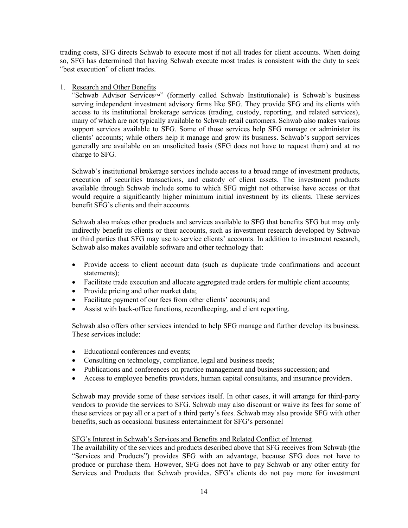trading costs, SFG directs Schwab to execute most if not all trades for client accounts. When doing so, SFG has determined that having Schwab execute most trades is consistent with the duty to seek "best execution" of client trades.

#### 1. Research and Other Benefits

"Schwab Advisor Services™" (formerly called Schwab Institutional®) is Schwab's business serving independent investment advisory firms like SFG. They provide SFG and its clients with access to its institutional brokerage services (trading, custody, reporting, and related services), many of which are not typically available to Schwab retail customers. Schwab also makes various support services available to SFG. Some of those services help SFG manage or administer its clients' accounts; while others help it manage and grow its business. Schwab's support services generally are available on an unsolicited basis (SFG does not have to request them) and at no charge to SFG.

Schwab's institutional brokerage services include access to a broad range of investment products, execution of securities transactions, and custody of client assets. The investment products available through Schwab include some to which SFG might not otherwise have access or that would require a significantly higher minimum initial investment by its clients. These services benefit SFG's clients and their accounts.

Schwab also makes other products and services available to SFG that benefits SFG but may only indirectly benefit its clients or their accounts, such as investment research developed by Schwab or third parties that SFG may use to service clients' accounts. In addition to investment research, Schwab also makes available software and other technology that:

- Provide access to client account data (such as duplicate trade confirmations and account statements);
- Facilitate trade execution and allocate aggregated trade orders for multiple client accounts;
- Provide pricing and other market data;
- Facilitate payment of our fees from other clients' accounts; and
- Assist with back-office functions, recordkeeping, and client reporting.

Schwab also offers other services intended to help SFG manage and further develop its business. These services include:

- Educational conferences and events;
- Consulting on technology, compliance, legal and business needs;
- Publications and conferences on practice management and business succession; and
- Access to employee benefits providers, human capital consultants, and insurance providers.

Schwab may provide some of these services itself. In other cases, it will arrange for third-party vendors to provide the services to SFG. Schwab may also discount or waive its fees for some of these services or pay all or a part of a third party's fees. Schwab may also provide SFG with other benefits, such as occasional business entertainment for SFG's personnel

#### SFG's Interest in Schwab's Services and Benefits and Related Conflict of Interest.

The availability of the services and products described above that SFG receives from Schwab (the "Services and Products") provides SFG with an advantage, because SFG does not have to produce or purchase them. However, SFG does not have to pay Schwab or any other entity for Services and Products that Schwab provides. SFG's clients do not pay more for investment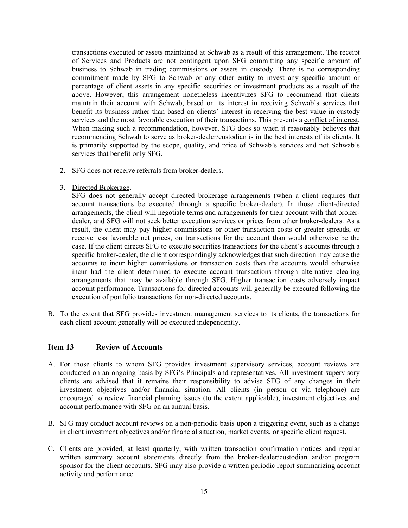transactions executed or assets maintained at Schwab as a result of this arrangement. The receipt of Services and Products are not contingent upon SFG committing any specific amount of business to Schwab in trading commissions or assets in custody. There is no corresponding commitment made by SFG to Schwab or any other entity to invest any specific amount or percentage of client assets in any specific securities or investment products as a result of the above. However, this arrangement nonetheless incentivizes SFG to recommend that clients maintain their account with Schwab, based on its interest in receiving Schwab's services that benefit its business rather than based on clients' interest in receiving the best value in custody services and the most favorable execution of their transactions. This presents a conflict of interest. When making such a recommendation, however, SFG does so when it reasonably believes that recommending Schwab to serve as broker-dealer/custodian is in the best interests of its clients. It is primarily supported by the scope, quality, and price of Schwab's services and not Schwab's services that benefit only SFG.

- 2. SFG does not receive referrals from broker-dealers.
- 3. Directed Brokerage.

SFG does not generally accept directed brokerage arrangements (when a client requires that account transactions be executed through a specific broker-dealer). In those client-directed arrangements, the client will negotiate terms and arrangements for their account with that brokerdealer, and SFG will not seek better execution services or prices from other broker-dealers. As a result, the client may pay higher commissions or other transaction costs or greater spreads, or receive less favorable net prices, on transactions for the account than would otherwise be the case. If the client directs SFG to execute securities transactions for the client's accounts through a specific broker-dealer, the client correspondingly acknowledges that such direction may cause the accounts to incur higher commissions or transaction costs than the accounts would otherwise incur had the client determined to execute account transactions through alternative clearing arrangements that may be available through SFG. Higher transaction costs adversely impact account performance. Transactions for directed accounts will generally be executed following the execution of portfolio transactions for non-directed accounts.

B. To the extent that SFG provides investment management services to its clients, the transactions for each client account generally will be executed independently.

#### <span id="page-14-0"></span>**Item 13 Review of Accounts**

- A. For those clients to whom SFG provides investment supervisory services, account reviews are conducted on an ongoing basis by SFG's Principals and representatives. All investment supervisory clients are advised that it remains their responsibility to advise SFG of any changes in their investment objectives and/or financial situation. All clients (in person or via telephone) are encouraged to review financial planning issues (to the extent applicable), investment objectives and account performance with SFG on an annual basis.
- B. SFG may conduct account reviews on a non-periodic basis upon a triggering event, such as a change in client investment objectives and/or financial situation, market events, or specific client request.
- <span id="page-14-1"></span>C. Clients are provided, at least quarterly, with written transaction confirmation notices and regular written summary account statements directly from the broker-dealer/custodian and/or program sponsor for the client accounts. SFG may also provide a written periodic report summarizing account activity and performance.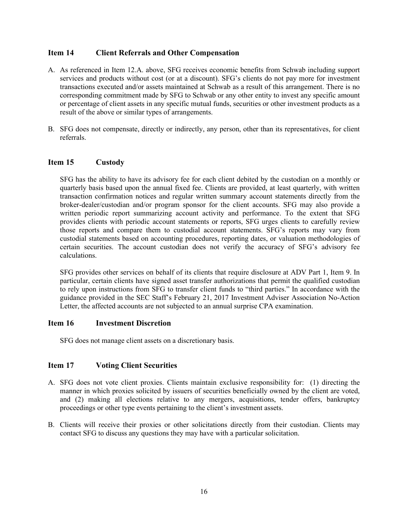#### **Item 14 Client Referrals and Other Compensation**

- A. As referenced in Item 12.A. above, SFG receives economic benefits from Schwab including support services and products without cost (or at a discount). SFG's clients do not pay more for investment transactions executed and/or assets maintained at Schwab as a result of this arrangement. There is no corresponding commitment made by SFG to Schwab or any other entity to invest any specific amount or percentage of client assets in any specific mutual funds, securities or other investment products as a result of the above or similar types of arrangements.
- <span id="page-15-0"></span>B. SFG does not compensate, directly or indirectly, any person, other than its representatives, for client referrals.

#### **Item 15 Custody**

SFG has the ability to have its advisory fee for each client debited by the custodian on a monthly or quarterly basis based upon the annual fixed fee. Clients are provided, at least quarterly, with written transaction confirmation notices and regular written summary account statements directly from the broker-dealer/custodian and/or program sponsor for the client accounts. SFG may also provide a written periodic report summarizing account activity and performance. To the extent that SFG provides clients with periodic account statements or reports, SFG urges clients to carefully review those reports and compare them to custodial account statements. SFG's reports may vary from custodial statements based on accounting procedures, reporting dates, or valuation methodologies of certain securities. The account custodian does not verify the accuracy of SFG's advisory fee calculations.

SFG provides other services on behalf of its clients that require disclosure at ADV Part 1, Item 9. In particular, certain clients have signed asset transfer authorizations that permit the qualified custodian to rely upon instructions from SFG to transfer client funds to "third parties." In accordance with the guidance provided in the SEC Staff's February 21, 2017 Investment Adviser Association No-Action Letter, the affected accounts are not subjected to an annual surprise CPA examination.

#### <span id="page-15-1"></span>**Item 16 Investment Discretion**

<span id="page-15-2"></span>SFG does not manage client assets on a discretionary basis.

### **Item 17 Voting Client Securities**

- A. SFG does not vote client proxies. Clients maintain exclusive responsibility for: (1) directing the manner in which proxies solicited by issuers of securities beneficially owned by the client are voted, and (2) making all elections relative to any mergers, acquisitions, tender offers, bankruptcy proceedings or other type events pertaining to the client's investment assets.
- <span id="page-15-3"></span>B. Clients will receive their proxies or other solicitations directly from their custodian. Clients may contact SFG to discuss any questions they may have with a particular solicitation.